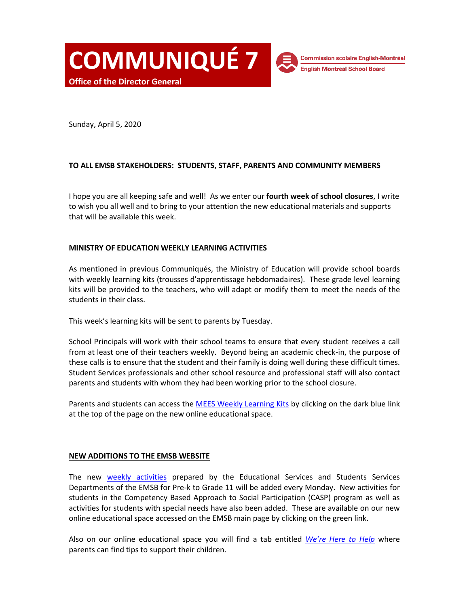**COMMUNIQUÉ 7 Office of the Director General**

**Commission scolaire English-Montréal English Montreal School Board** 

Sunday, April 5, 2020

# **TO ALL EMSB STAKEHOLDERS: STUDENTS, STAFF, PARENTS AND COMMUNITY MEMBERS**

I hope you are all keeping safe and well! As we enter our **fourth week of school closures**, I write to wish you all well and to bring to your attention the new educational materials and supports that will be available this week.

# **MINISTRY OF EDUCATION WEEKLY LEARNING ACTIVITIES**

As mentioned in previous Communiqués, the Ministry of Education will provide school boards with weekly learning kits (trousses d'apprentissage hebdomadaires). These grade level learning kits will be provided to the teachers, who will adapt or modify them to meet the needs of the students in their class.

This week's learning kits will be sent to parents by Tuesday.

School Principals will work with their school teams to ensure that every student receives a call from at least one of their teachers weekly. Beyond being an academic check-in, the purpose of these calls is to ensure that the student and their family is doing well during these difficult times. Student Services professionals and other school resource and professional staff will also contact parents and students with whom they had been working prior to the school closure.

Parents and students can access the [MEES Weekly Learning Kits](https://www.emsb.qc.ca/emsb/community/education/mees-activities) by clicking on the dark blue link at the top of the page on the new online educational space.

### **NEW ADDITIONS TO THE EMSB WEBSITE**

The new weekly [activities](https://www.emsb.qc.ca/emsb/community/education) prepared by the Educational Services and Students Services Departments of the EMSB for Pre-k to Grade 11 will be added every Monday. New activities for students in the Competency Based Approach to Social Participation (CASP) program as well as activities for students with special needs have also been added. These are available on our new online educational space accessed on the EMSB main page by clicking on the green link.

Also on our online educational space you will find a tab entitled *[We're Here to Help](https://www.emsb.qc.ca/emsb/community/education/activities/tips-for-parents)* where parents can find tips to support their children.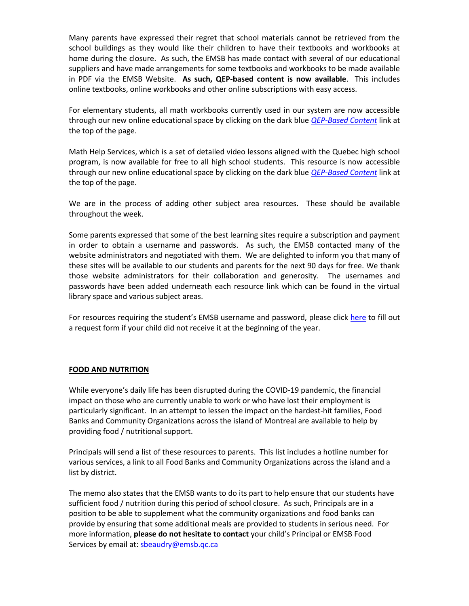Many parents have expressed their regret that school materials cannot be retrieved from the school buildings as they would like their children to have their textbooks and workbooks at home during the closure. As such, the EMSB has made contact with several of our educational suppliers and have made arrangements for some textbooks and workbooks to be made available in PDF via the EMSB Website. **As such, QEP-based content is now available**. This includes online textbooks, online workbooks and other online subscriptions with easy access.

For elementary students, all math workbooks currently used in our system are now accessible through our new online educational space by clicking on the dark blue *[QEP-Based Content](https://www.emsb.qc.ca/emsb/community/education/qep-content)* link at the top of the page.

Math Help Services, which is a set of detailed video lessons aligned with the Quebec high school program, is now available for free to all high school students. This resource is now accessible through our new online educational space by clicking on the dark blue *[QEP-Based Content](https://www.emsb.qc.ca/emsb/community/education/qep-content)* link at the top of the page.

We are in the process of adding other subject area resources. These should be available throughout the week.

Some parents expressed that some of the best learning sites require a subscription and payment in order to obtain a username and passwords. As such, the EMSB contacted many of the website administrators and negotiated with them. We are delighted to inform you that many of these sites will be available to our students and parents for the next 90 days for free. We thank those website administrators for their collaboration and generosity. The usernames and passwords have been added underneath each resource link which can be found in the virtual library space and various subject areas.

For resources requiring the student's EMSB username and password, please click [here](https://az184419.vo.msecnd.net/emsb/emsb-website/en/docs/edulinks/parental-consent-via-email-during-covid-19-crisis-2.pdf) to fill out a request form if your child did not receive it at the beginning of the year.

# **FOOD AND NUTRITION**

While everyone's daily life has been disrupted during the COVID-19 pandemic, the financial impact on those who are currently unable to work or who have lost their employment is particularly significant. In an attempt to lessen the impact on the hardest-hit families, Food Banks and Community Organizations across the island of Montreal are available to help by providing food / nutritional support.

Principals will send a list of these resources to parents. This list includes a hotline number for various services, a link to all Food Banks and Community Organizations across the island and a list by district.

The memo also states that the EMSB wants to do its part to help ensure that our students have sufficient food / nutrition during this period of school closure. As such, Principals are in a position to be able to supplement what the community organizations and food banks can provide by ensuring that some additional meals are provided to students in serious need. For more information, **please do not hesitate to contact** your child's Principal or EMSB Food Services by email at: [sbeaudry@emsb.qc.ca](mailto:sbeaudry@emsb.qc.ca)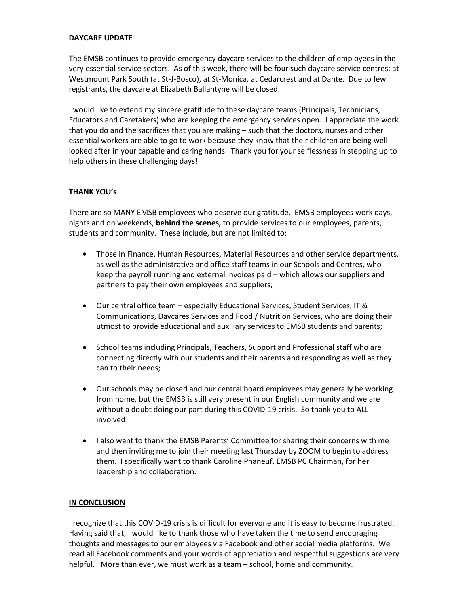### **DAYCARE UPDATE**

The EMSB continues to provide emergency daycare services to the children of employees in the very essential service sectors. As of this week, there will be four such daycare service centres: at Westmount Park South (at St-J-Bosco), at St-Monica, at Cedarcrest and at Dante. Due to few registrants, the daycare at Elizabeth Ballantyne will be closed.

I would like to extend my sincere gratitude to these daycare teams (Principals, Technicians, Educators and Caretakers) who are keeping the emergency services open. I appreciate the work that you do and the sacrifices that you are making – such that the doctors, nurses and other essential workers are able to go to work because they know that their children are being well looked after in your capable and caring hands. Thank you for your selflessness in stepping up to help others in these challenging days!

# **THANK YOU's**

There are so MANY EMSB employees who deserve our gratitude. EMSB employees work days, nights and on weekends, **behind the scenes,** to provide services to our employees, parents, students and community. These include, but are not limited to:

- Those in Finance, Human Resources, Material Resources and other service departments, as well as the administrative and office staff teams in our Schools and Centres, who keep the payroll running and external invoices paid – which allows our suppliers and partners to pay their own employees and suppliers;
- Our central office team especially Educational Services, Student Services, IT & Communications, Daycares Services and Food / Nutrition Services, who are doing their utmost to provide educational and auxiliary services to EMSB students and parents;
- School teams including Principals, Teachers, Support and Professional staff who are connecting directly with our students and their parents and responding as well as they can to their needs;
- Our schools may be closed and our central board employees may generally be working from home, but the EMSB is still very present in our English community and we are without a doubt doing our part during this COVID-19 crisis. So thank you to ALL involved!
- I also want to thank the EMSB Parents' Committee for sharing their concerns with me and then inviting me to join their meeting last Thursday by ZOOM to begin to address them. I specifically want to thank Caroline Phaneuf, EMSB PC Chairman, for her leadership and collaboration.

# **IN CONCLUSION**

I recognize that this COVID-19 crisis is difficult for everyone and it is easy to become frustrated. Having said that, I would like to thank those who have taken the time to send encouraging thoughts and messages to our employees via Facebook and other social media platforms. We read all Facebook comments and your words of appreciation and respectful suggestions are very helpful. More than ever, we must work as a team – school, home and community.